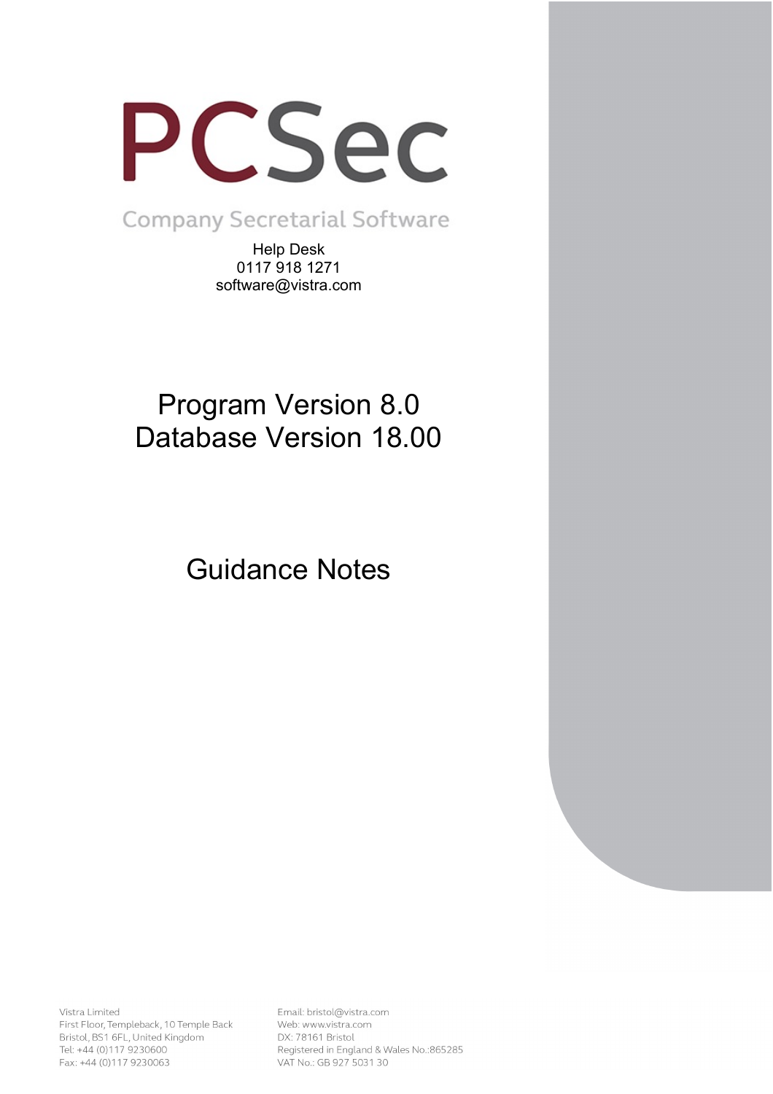

**Company Secretarial Software** 

Help Desk 0117 918 1271 software@vistra.com

# Program Version 8.0 Database Version 18.00

Guidance Notes

Vistra Limited First Floor, Templeback, 10 Temple Back Bristol, BS1 6FL, United Kingdom Tel: +44 (0)117 9230600 Fax: +44 (0)117 9230063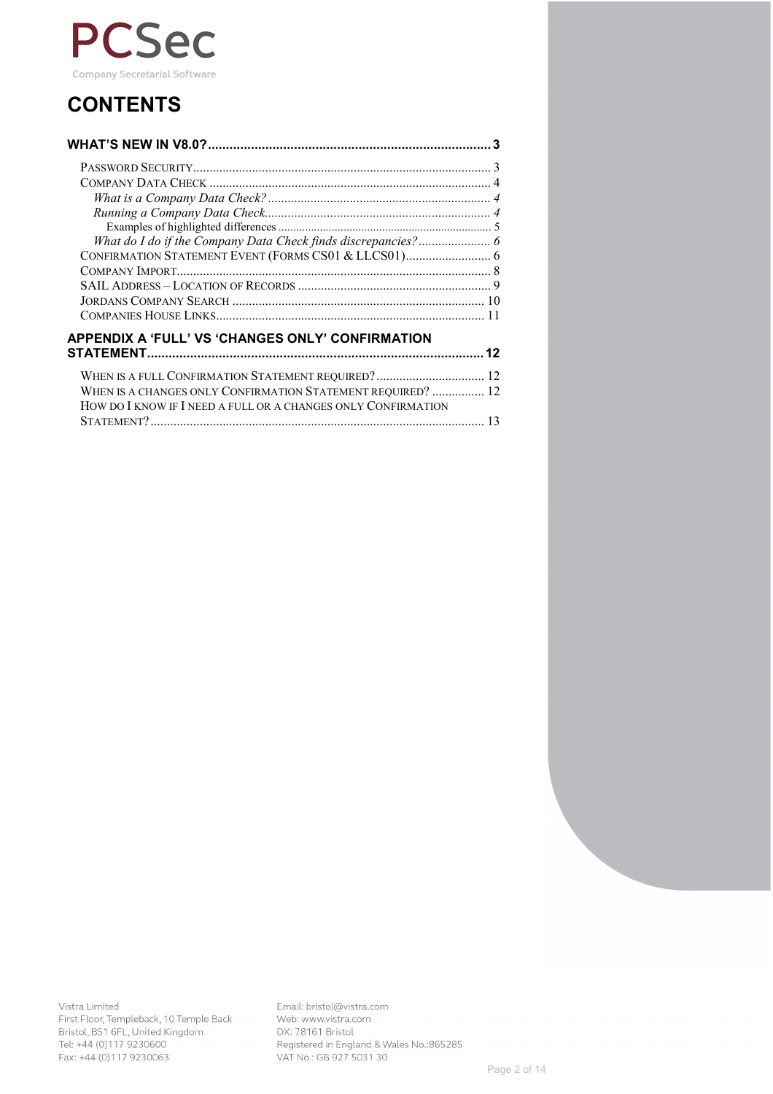

## **CONTENTS**

| What do I do if the Company Data Check finds discrepancies? 6 |    |
|---------------------------------------------------------------|----|
|                                                               |    |
|                                                               |    |
|                                                               |    |
|                                                               |    |
|                                                               |    |
| <b>APPENDIX A 'FULL' VS 'CHANGES ONLY' CONFIRMATION</b>       |    |
|                                                               | 12 |
| WHEN IS A FULL CONFIRMATION STATEMENT REQUIRED?  12           |    |
| WHEN IS A CHANGES ONLY CONFIRMATION STATEMENT REQUIRED?  12   |    |
| HOW DO I KNOW IF I NEED A FULL OR A CHANGES ONLY CONFIRMATION |    |
|                                                               |    |
|                                                               |    |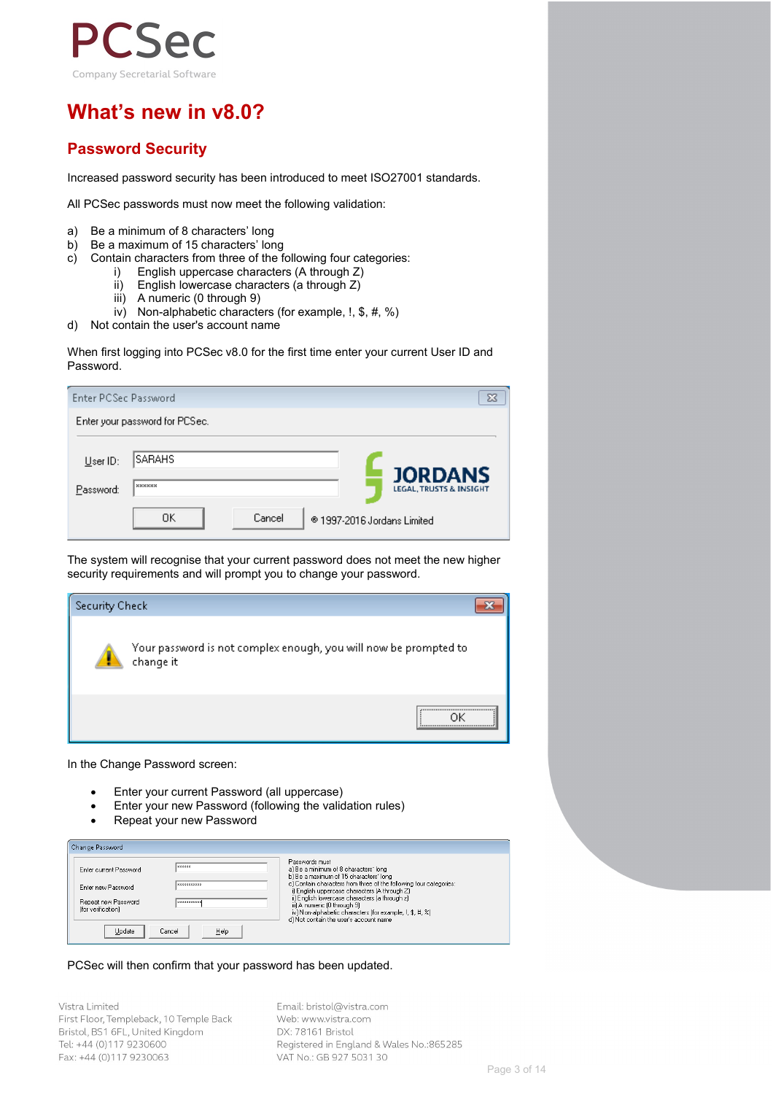

## **What's new in v8.0?**

## **Password Security**

Increased password security has been introduced to meet ISO27001 standards.

All PCSec passwords must now meet the following validation:

- 
- a) Be a minimum of 8 characters' long<br>b) Be a maximum of 15 characters' lor
- b) Be a maximum of 15 characters' long<br>c) Contain characters from three of the f Contain characters from three of the following four categories:
	- i) English uppercase characters (A through Z)<br>ii) English lowercase characters (a through Z)
	- ii) English lowercase characters (a through Z) iii) A numeric (0 through 9)
	- A numeric (0 through 9)
	- iv) Non-alphabetic characters (for example, !, \$, #, %)
- d) Not contain the user's account name

When first logging into PCSec v8.0 for the first time enter your current User ID and Password.

| Enter PCSec Password  |                                         | X                                                                                   |
|-----------------------|-----------------------------------------|-------------------------------------------------------------------------------------|
|                       | Enter your password for PCSec.          |                                                                                     |
| User ID:<br>Password: | <b>SARAHS</b><br>xxxxxx<br>OΚ<br>Cancel | <b>JORDANS</b><br><b>LEGAL, TRUSTS &amp; INSIGHT</b><br>® 1997-2016 Jordans Limited |

The system will recognise that your current password does not meet the new higher security requirements and will prompt you to change your password.



In the Change Password screen:

- Enter your current Password (all uppercase)
- Enter your new Password (following the validation rules)
- Repeat your new Password

| Change Password                           |                    |                                                                                                                                                                                      |
|-------------------------------------------|--------------------|--------------------------------------------------------------------------------------------------------------------------------------------------------------------------------------|
| Enter current Password                    | <b>RXXXXXX</b>     | Passwords must<br>a) Be a minimum of 8 characters' long<br>b) Be a maximum of 15 characters' long                                                                                    |
| Enter new Password                        | <b>XXXXXXXXXX</b>  | c) Contain characters from three of the following four categories:<br>i) English uppercase characters (A through Z)                                                                  |
| Repeat new Password<br>(for verification) | <b>NXXXXXXXXXX</b> | ii) English lowercase characters (a through z)<br>iii) A numeric (0 through 9)<br>iv) Non-alphabetic characters (for example, 1, \$, #, %)<br>d) Not contain the user's account name |
| Update                                    | Help<br>Cancel     |                                                                                                                                                                                      |

#### PCSec will then confirm that your password has been updated.

Vistra Limited First Floor, Templeback, 10 Temple Back Bristol, BS1 6FL, United Kingdom Tel: +44 (0)117 9230600 Fax: +44 (0)117 9230063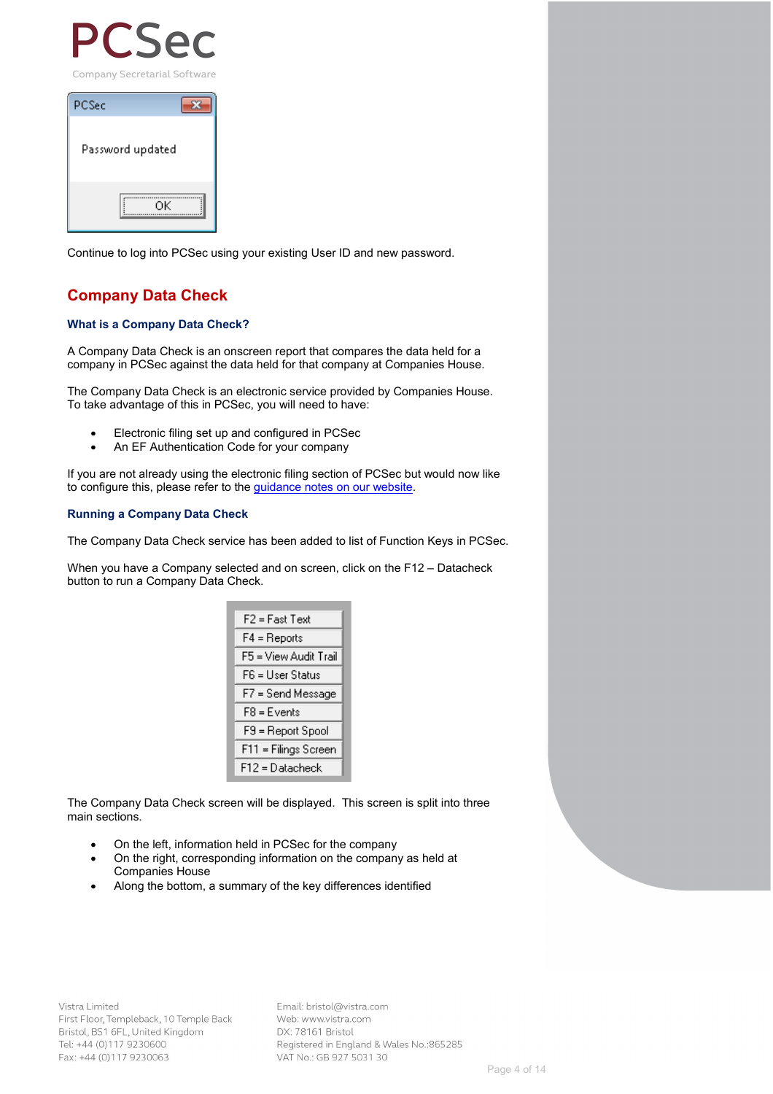

| PCSec            |
|------------------|
| Password updated |
| OΚ               |

Continue to log into PCSec using your existing User ID and new password.

## **Company Data Check**

#### **What is a Company Data Check?**

A Company Data Check is an onscreen report that compares the data held for a company in PCSec against the data held for that company at Companies House.

The Company Data Check is an electronic service provided by Companies House. To take advantage of this in PCSec, you will need to have:

- Electronic filing set up and configured in PCSec
- An EF Authentication Code for your company

If you are not already using the electronic filing section of PCSec but would now like to configure this, please refer to the **guidance notes on our website**.

#### **Running a Company Data Check**

The Company Data Check service has been added to list of Function Keys in PCSec.

When you have a Company selected and on screen, click on the F12 – Datacheck button to run a Company Data Check.

| F2 = Fast Text        |
|-----------------------|
| $F4 = Reports$        |
| F5 = View Audit Trail |
| F6 = User Status      |
| F7 = Send Message     |
| F8 = Events           |
| F9 = Report Spool     |
| F11 = Filings Screen  |
| F12 = Datacheck       |

The Company Data Check screen will be displayed. This screen is split into three main sections.

- On the left, information held in PCSec for the company
- On the right, corresponding information on the company as held at Companies House
- Along the bottom, a summary of the key differences identified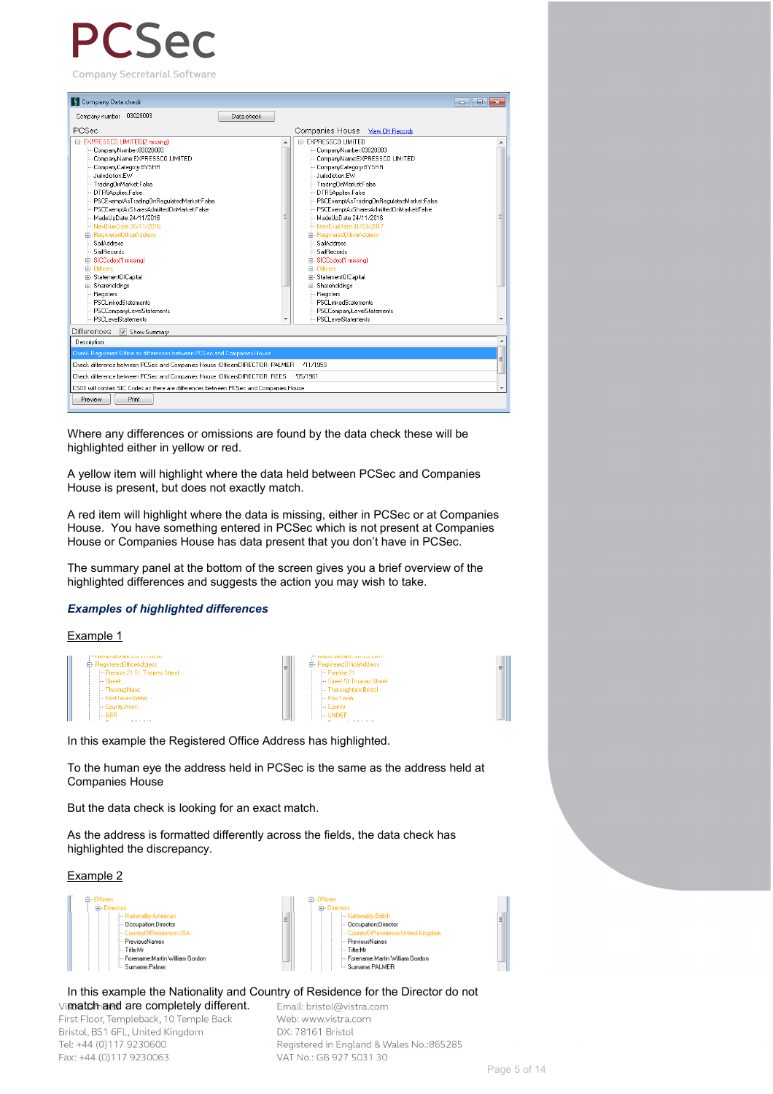# $\Delta$

Company Secretarial Software



Where any differences or omissions are found by the data check these will be highlighted either in yellow or red.

A yellow item will highlight where the data held between PCSec and Companies House is present, but does not exactly match.

A red item will highlight where the data is missing, either in PCSec or at Companies House. You have something entered in PCSec which is not present at Companies House or Companies House has data present that you don't have in PCSec.

The summary panel at the bottom of the screen gives you a brief overview of the highlighted differences and suggests the action you may wish to take.

#### *Examples of highlighted differences*

Example 1

| <b>INCALINGLIQUE.CU/ 11/2010</b><br><b>E</b> -RegisteredDificeAddress<br>- Premise: 21 St. Thomas Street<br>- Street:<br>- Thoroughfare:<br>- PostTown: Bristol<br>- Countu: Avon<br>$-$ GRB | "" INCALDUCID QUE, JITZ UJZ ZUTT<br><b>E</b> -RegisteredOfficeAddress<br>Ξ<br>$-$ Premise: 21<br>- Street: St Thomas Street<br>Thoroughfare: Bristol<br>- PostTown:<br>- County:<br>$\leftarrow$ I INDEE |
|----------------------------------------------------------------------------------------------------------------------------------------------------------------------------------------------|----------------------------------------------------------------------------------------------------------------------------------------------------------------------------------------------------------|
|                                                                                                                                                                                              |                                                                                                                                                                                                          |

In this example the Registered Office Address has highlighted.

To the human eye the address held in PCSec is the same as the address held at Companies House

But the data check is looking for an exact match.

As the address is formatted differently across the fields, the data check has highlighted the discrepancy.

#### Example 2



#### In this example the Nationality and Country of Residence for the Director do not

Vi**match and are completely different.**<br>First Floor, Templeback, 10 Temple Back Bristol, BS1 6FL, United Kingdom Tel: +44 (0)117 9230600 Fax: +44 (0)117 9230063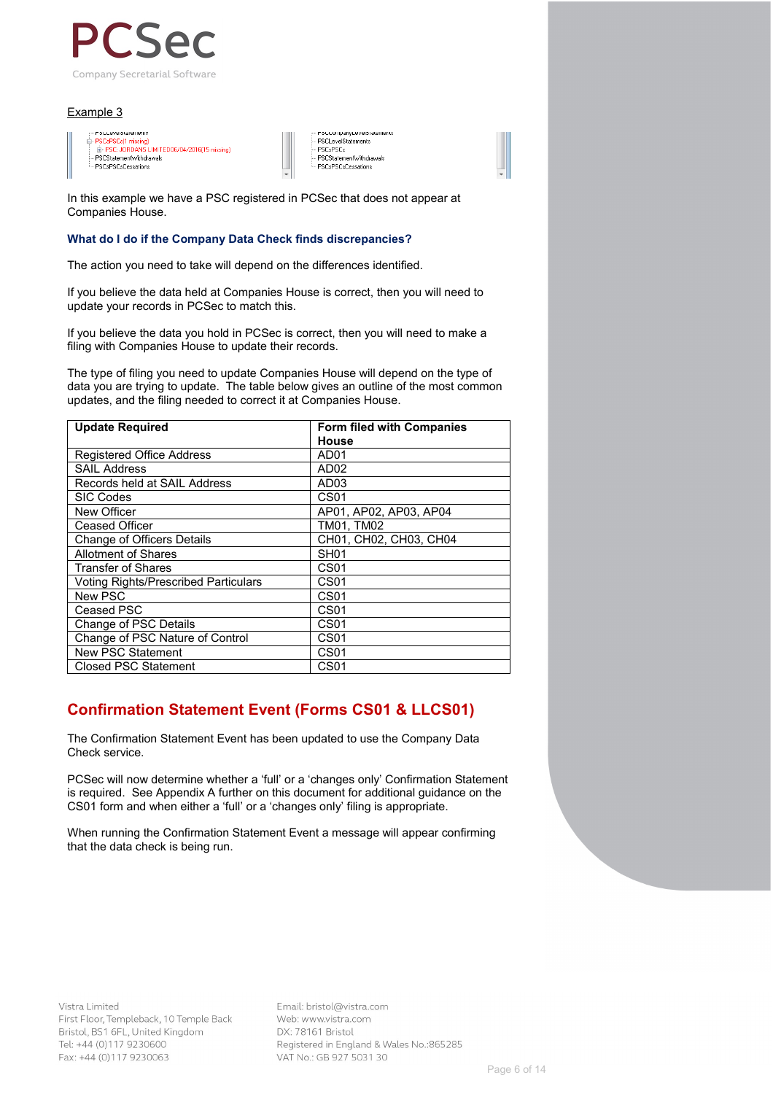

#### Example 3

| <b>FULLOVOULOIDING</b>                       |  |
|----------------------------------------------|--|
| <b>E-PSCsPSCs[1 missing]</b>                 |  |
| E-PSC: JORDANS LIMITED06/04/2016(15 missing) |  |
| - PSCStatementWithdrawals                    |  |
| - PSCsPSCsCessations                         |  |
|                                              |  |

PSCLevelStatements PSCsPSCs PSCStatementWithdrawals PSCsPSCsCessations

In this example we have a PSC registered in PCSec that does not appear at Companies House.

#### **What do I do if the Company Data Check finds discrepancies?**

The action you need to take will depend on the differences identified.

If you believe the data held at Companies House is correct, then you will need to update your records in PCSec to match this.

If you believe the data you hold in PCSec is correct, then you will need to make a filing with Companies House to update their records.

The type of filing you need to update Companies House will depend on the type of data you are trying to update. The table below gives an outline of the most common updates, and the filing needed to correct it at Companies House.

| <b>Update Required</b>                      | <b>Form filed with Companies</b> |  |  |  |
|---------------------------------------------|----------------------------------|--|--|--|
|                                             | House                            |  |  |  |
| <b>Registered Office Address</b>            | AD01                             |  |  |  |
| <b>SAIL Address</b>                         | AD <sub>02</sub>                 |  |  |  |
| Records held at SAIL Address                | AD <sub>03</sub>                 |  |  |  |
| <b>SIC Codes</b>                            | CS <sub>01</sub>                 |  |  |  |
| New Officer                                 | AP01, AP02, AP03, AP04           |  |  |  |
| <b>Ceased Officer</b>                       | TM01, TM02                       |  |  |  |
| Change of Officers Details                  | CH01, CH02, CH03, CH04           |  |  |  |
| <b>Allotment of Shares</b>                  | SH <sub>01</sub>                 |  |  |  |
| Transfer of Shares                          | CS01                             |  |  |  |
| <b>Voting Rights/Prescribed Particulars</b> | CS <sub>01</sub>                 |  |  |  |
| New PSC                                     | CS <sub>01</sub>                 |  |  |  |
| Ceased PSC                                  | CS <sub>01</sub>                 |  |  |  |
| Change of PSC Details                       | CS <sub>01</sub>                 |  |  |  |
| Change of PSC Nature of Control             | CS <sub>01</sub>                 |  |  |  |
| New PSC Statement                           | CS01                             |  |  |  |
| <b>Closed PSC Statement</b>                 | CS <sub>01</sub>                 |  |  |  |

## **Confirmation Statement Event (Forms CS01 & LLCS01)**

The Confirmation Statement Event has been updated to use the Company Data Check service.

PCSec will now determine whether a 'full' or a 'changes only' Confirmation Statement is required. See Appendix A further on this document for additional guidance on the CS01 form and when either a 'full' or a 'changes only' filing is appropriate.

When running the Confirmation Statement Event a message will appear confirming that the data check is being run.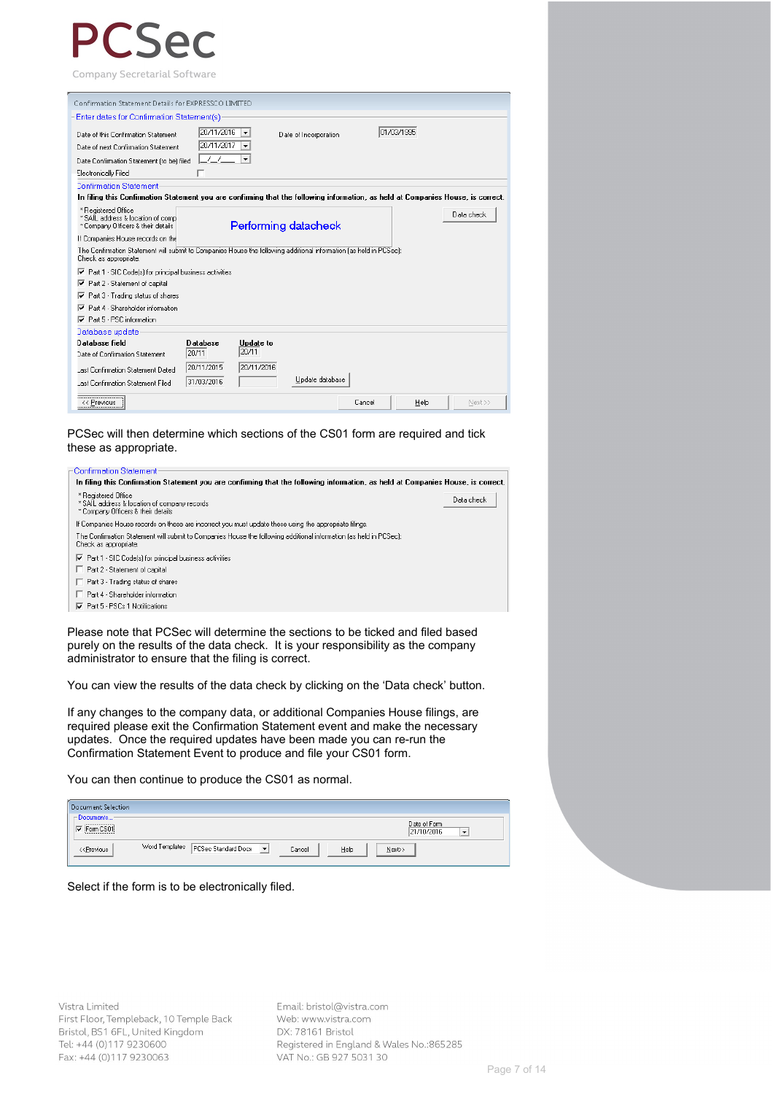Company Secretarial Software

| Confirmation Statement Details for EXPRESSCO LIMITED                                                                                        |                 |                  |                       |            |      |            |
|---------------------------------------------------------------------------------------------------------------------------------------------|-----------------|------------------|-----------------------|------------|------|------------|
| Enter dates for Confirmation Statement(s)                                                                                                   |                 |                  |                       |            |      |            |
| Date of this Confirmation Statement                                                                                                         | 20/11/2016      | ▼                | Date of Incorporation | 01/03/1995 |      |            |
| Date of next Confirmation Statement                                                                                                         | 20/11/2017      | ▼                |                       |            |      |            |
| Date Confirmation Statement (to be) filed                                                                                                   | 77              | ۰                |                       |            |      |            |
| Electronically Filed                                                                                                                        |                 |                  |                       |            |      |            |
| <b>Confirmation Statement</b>                                                                                                               |                 |                  |                       |            |      |            |
| In filing this Confirmation Statement you are confirming that the following information, as held at Companies House, is correct.            |                 |                  |                       |            |      |            |
| * Registered Office<br>* SAIL address & location of comp<br>* Company Officers & their details                                              |                 |                  | Performing datacheck  |            |      | Data check |
| If Companies House records on the                                                                                                           |                 |                  |                       |            |      |            |
| The Confirmation Statement will submit to Companies House the following additional information (as held in PCSec):<br>Check as appropriate. |                 |                  |                       |            |      |            |
| $\overline{\triangledown}$ Part 1 - SIC Code(s) for principal business activities                                                           |                 |                  |                       |            |      |            |
| Part 2 - Statement of capital<br>⊽                                                                                                          |                 |                  |                       |            |      |            |
| Part 3 - Trading status of shares<br>⊽                                                                                                      |                 |                  |                       |            |      |            |
| ⊽<br>Part 4 - Shareholder information                                                                                                       |                 |                  |                       |            |      |            |
| $\nabla$ Part 5 - PSC information                                                                                                           |                 |                  |                       |            |      |            |
| Database update                                                                                                                             |                 |                  |                       |            |      |            |
| Database field                                                                                                                              | <b>Database</b> | <b>Update</b> to |                       |            |      |            |
| Date of Confirmation Statement                                                                                                              | 20/11           | 20/11            |                       |            |      |            |
| Last Confirmation Statement Dated                                                                                                           | 20/11/2015      | 20/11/2016       |                       |            |      |            |
| Last Confirmation Statement Filed                                                                                                           | 31/03/2016      |                  | Update database       |            |      |            |
| << Previous                                                                                                                                 |                 |                  |                       | Cancel     | Help | Next >>    |

PCSec will then determine which sections of the CS01 form are required and tick these as appropriate.



Please note that PCSec will determine the sections to be ticked and filed based purely on the results of the data check. It is your responsibility as the company administrator to ensure that the filing is correct.

You can view the results of the data check by clicking on the 'Data check' button.

If any changes to the company data, or additional Companies House filings, are required please exit the Confirmation Statement event and make the necessary updates. Once the required updates have been made you can re-run the Confirmation Statement Event to produce and file your CS01 form.

You can then continue to produce the CS01 as normal.

| <b>Document Selection</b>                                                                                                                                                |                                                                                          |  |
|--------------------------------------------------------------------------------------------------------------------------------------------------------------------------|------------------------------------------------------------------------------------------|--|
| -Documents-<br>Form CS01                                                                                                                                                 | Date of Form<br>21/10/2016<br>$\overline{\phantom{a}}$                                   |  |
| < <previous< th=""><th>Word Templates PCSec Standard Dock<br/><math>\vert \cdot \vert</math><br/>Help<br/><math>N</math>ext&gt;&gt;<br/>Cancel</th><th></th></previous<> | Word Templates PCSec Standard Dock<br>$\vert \cdot \vert$<br>Help<br>$N$ ext>><br>Cancel |  |

Select if the form is to be electronically filed.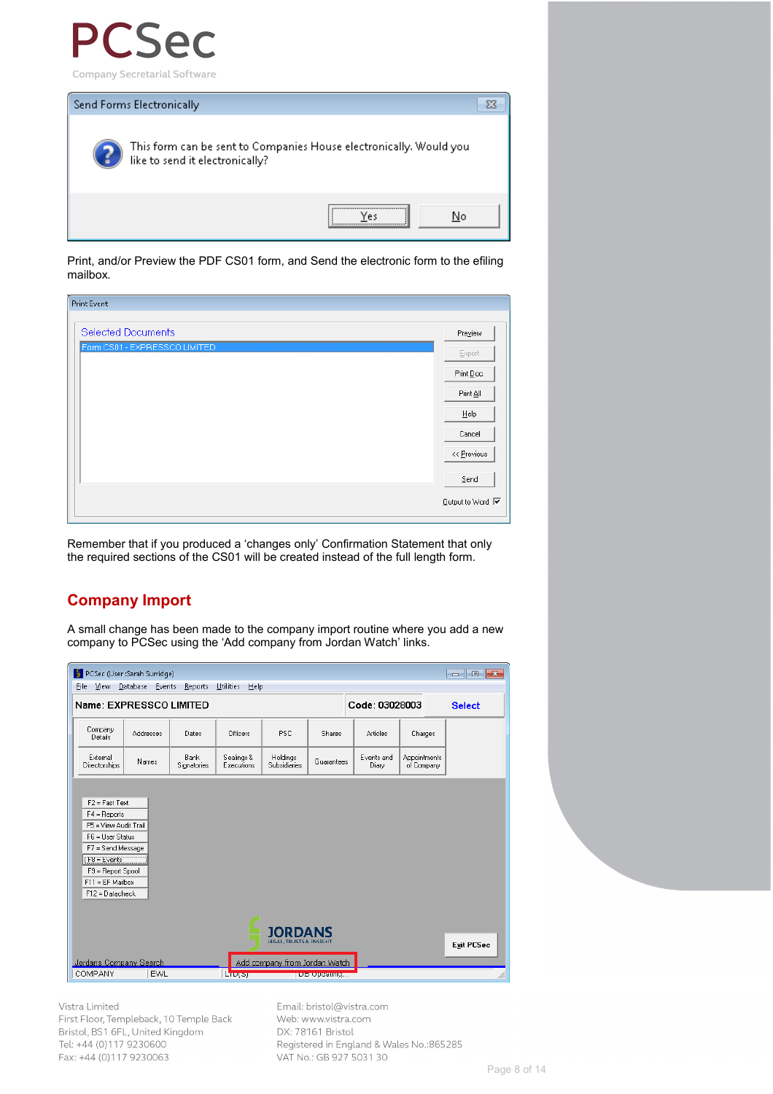



Print, and/or Preview the PDF CS01 form, and Send the electronic form to the efiling mailbox.

| Print Event                   |                                                           |
|-------------------------------|-----------------------------------------------------------|
|                               |                                                           |
| <b>Selected Documents</b>     | Preview                                                   |
| Form CS01 - EXPRESSCO LIMITED | Export                                                    |
|                               | Print Doc.                                                |
|                               | Print All                                                 |
|                               | Help                                                      |
|                               | Cancel                                                    |
|                               | << Previous                                               |
|                               | Send                                                      |
|                               | $\underline{\text{Output}}$ to Word $\overline{\text{V}}$ |
|                               |                                                           |

Remember that if you produced a 'changes only' Confirmation Statement that only the required sections of the CS01 will be created instead of the full length form.

## **Company Import**

A small change has been made to the company import routine where you add a new company to PCSec using the 'Add company from Jordan Watch' links.

| PCSec (User:Sarah Surridge)<br>$\begin{array}{c c c c c} \hline \multicolumn{1}{c }{-1} & \multicolumn{1}{c }{-1} & \multicolumn{1}{c }{-1} \end{array}$<br>View Database Events<br><b>Utilities</b><br>Help<br>File<br>Reports |           |                            |                          |                                 |                   |                     |                            |  |
|---------------------------------------------------------------------------------------------------------------------------------------------------------------------------------------------------------------------------------|-----------|----------------------------|--------------------------|---------------------------------|-------------------|---------------------|----------------------------|--|
| Name: EXPRESSCO LIMITED<br>Code: 03028003<br><b>Select</b>                                                                                                                                                                      |           |                            |                          |                                 |                   |                     |                            |  |
| Company<br>Details                                                                                                                                                                                                              | Addresses | Dates                      | Officers                 | PSC                             | Shares            | <b>Articles</b>     | Charges                    |  |
| External<br><b>Directorships</b>                                                                                                                                                                                                | Names     | <b>Bank</b><br>Signatories | Sealings &<br>Executions | Holdings<br><b>Subsidiaries</b> | Guarantees        | Events and<br>Diary | Appointments<br>of Company |  |
| $F2 = Fast Test$<br>$F4 =$ Reports<br>F5 = View Audit Trail<br>F6 = User Status<br>F7 = Send Message<br>$F8 = E$ vents<br>F9 = Report Spool<br>$F11 = EF$ Mailbox<br>F12 = Datacheck                                            |           |                            |                          |                                 |                   |                     |                            |  |
| <b>JORDANS</b><br><b>LEGAL. TRUSTS &amp; INSIGHT</b><br><b>Exit PCSec</b><br>Jordans Company Search<br>Add company from Jordan Watch                                                                                            |           |                            |                          |                                 |                   |                     |                            |  |
| COMPANY                                                                                                                                                                                                                         | EWL       |                            | Lugar                    |                                 | <b>Do Uppaung</b> |                     |                            |  |

Vistra Limited First Floor, Templeback, 10 Temple Back Bristol, BS1 6FL, United Kingdom Tel: +44 (0)117 9230600 Fax: +44 (0)117 9230063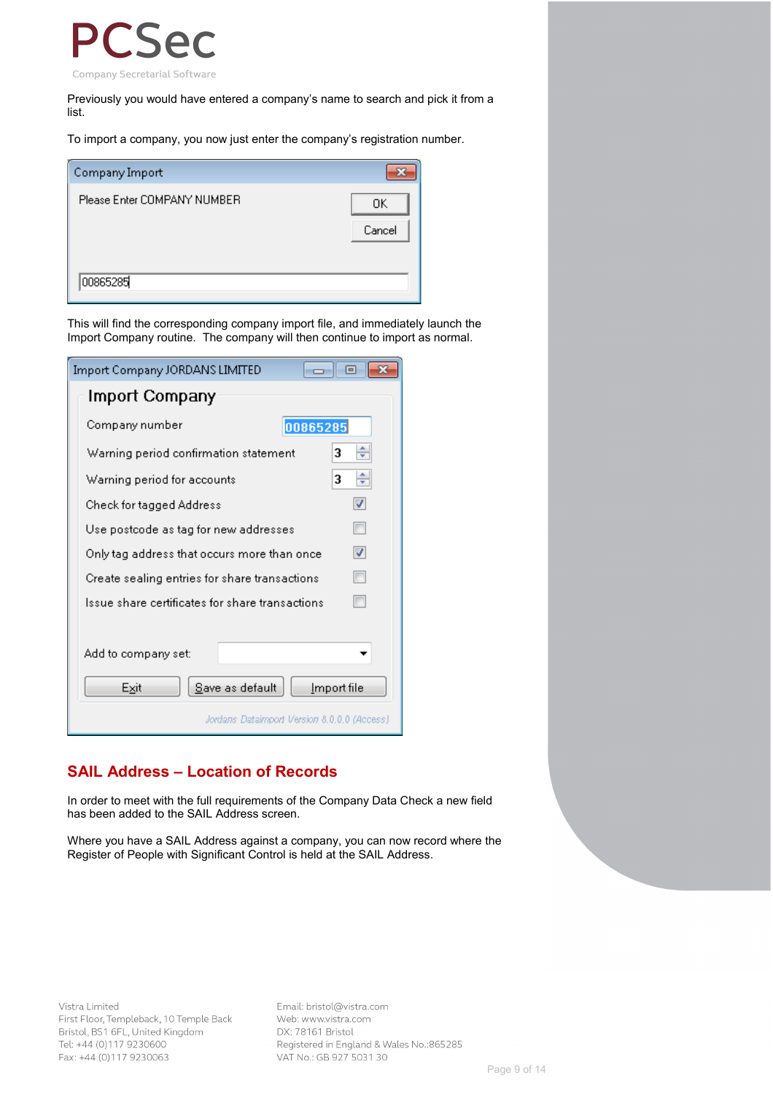

Previously you would have entered a company's name to search and pick it from a list.

To import a company, you now just enter the company's registration number.

| Company Import              |              |
|-----------------------------|--------------|
| Please Enter COMPANY NUMBER | OΚ<br>Cancel |
| 00865285                    |              |

This will find the corresponding company import file, and immediately launch the Import Company routine. The company will then continue to import as normal.

| Import Company JORDANS LIMITED                  | $\overline{\phantom{a}}$ $\overline{\phantom{a}}$ |
|-------------------------------------------------|---------------------------------------------------|
| Import Company                                  |                                                   |
| Company number<br>00865285                      |                                                   |
| Warning period confirmation statement           | ÷<br>3                                            |
| Warning period for accounts                     | ÷<br>3                                            |
| Check for tagged Address                        | √                                                 |
| Use postcode as tag for new addresses           |                                                   |
| Only tag address that occurs more than once     | √                                                 |
| Create sealing entries for share transactions   |                                                   |
| Issue share certificates for share transactions |                                                   |
|                                                 |                                                   |
| Add to company set:                             |                                                   |
| Exit<br>Save as default                         | Import file                                       |
| Jordans Dataimport Version 8.0.0.0 (Access)     |                                                   |

## **SAIL Address – Location of Records**

In order to meet with the full requirements of the Company Data Check a new field has been added to the SAIL Address screen.

Where you have a SAIL Address against a company, you can now record where the Register of People with Significant Control is held at the SAIL Address.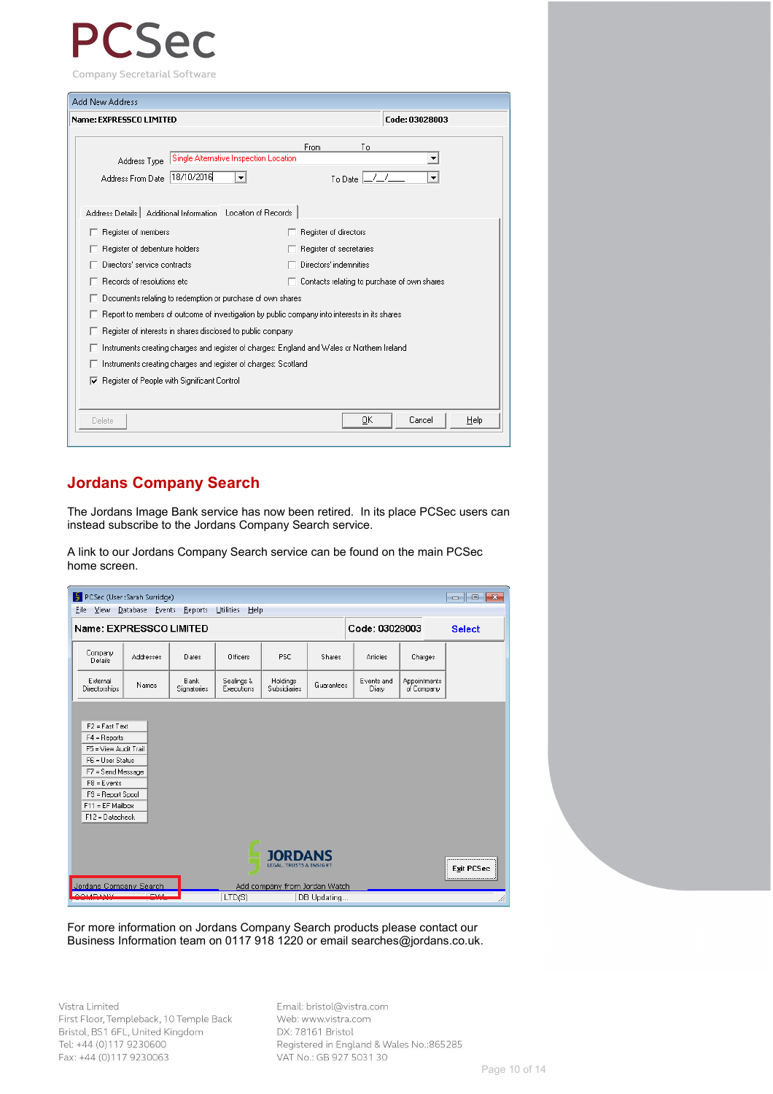# $SPT$

Company Secretarial Software

| <b>Add New Address</b>                                                                      |                                                                                                                                                                                                                                                                                                                                                                                                                                                                                                                                                                                                       |  |
|---------------------------------------------------------------------------------------------|-------------------------------------------------------------------------------------------------------------------------------------------------------------------------------------------------------------------------------------------------------------------------------------------------------------------------------------------------------------------------------------------------------------------------------------------------------------------------------------------------------------------------------------------------------------------------------------------------------|--|
| Name: EXPRESSCO LIMITED                                                                     | Code: 03028003                                                                                                                                                                                                                                                                                                                                                                                                                                                                                                                                                                                        |  |
| Address Type                                                                                | <b>From</b><br>To<br>Single Alternative Inspection Location                                                                                                                                                                                                                                                                                                                                                                                                                                                                                                                                           |  |
| 18/10/2016<br>Address From Date                                                             | To Date $\boxed{\underline{\hspace{1cm}}\underline{\hspace{1cm}}\underline{\hspace{1cm}}\underline{\hspace{1cm}}\underline{\hspace{1cm}}\underline{\hspace{1cm}}\underline{\hspace{1cm}}\underline{\hspace{1cm}}\underline{\hspace{1cm}}\underline{\hspace{1cm}}\underline{\hspace{1cm}}\underline{\hspace{1cm}}\underline{\hspace{1cm}}\underline{\hspace{1cm}}\underline{\hspace{1cm}}\underline{\hspace{1cm}}\underline{\hspace{1cm}}\underline{\hspace{1cm}}\underline{\hspace{1cm}}\underline{\hspace{1cm}}\underline{\hspace{1cm}}\underline{\hspace{1cm}}\underline{\hspace{1cm}}\underline{\$ |  |
| Address Details   Additional Information Location of Records                                |                                                                                                                                                                                                                                                                                                                                                                                                                                                                                                                                                                                                       |  |
| Register of members                                                                         | Register of directors                                                                                                                                                                                                                                                                                                                                                                                                                                                                                                                                                                                 |  |
| Register of debenture holders                                                               | Register of secretaries                                                                                                                                                                                                                                                                                                                                                                                                                                                                                                                                                                               |  |
| Directors' service contracts                                                                | Directors' indemnities                                                                                                                                                                                                                                                                                                                                                                                                                                                                                                                                                                                |  |
| Records of resolutions etc.                                                                 | Contacts relating to purchase of own shares                                                                                                                                                                                                                                                                                                                                                                                                                                                                                                                                                           |  |
| Documents relating to redemption or purchase of own shares                                  |                                                                                                                                                                                                                                                                                                                                                                                                                                                                                                                                                                                                       |  |
|                                                                                             | Report to members of outcome of investigation by public company into interests in its shares                                                                                                                                                                                                                                                                                                                                                                                                                                                                                                          |  |
| Register of interests in shares disclosed to public company                                 |                                                                                                                                                                                                                                                                                                                                                                                                                                                                                                                                                                                                       |  |
| Instruments creating charges and register of charges: England and Wales or Northern Ireland |                                                                                                                                                                                                                                                                                                                                                                                                                                                                                                                                                                                                       |  |
| Instruments creating charges and register of charges: Scotland                              |                                                                                                                                                                                                                                                                                                                                                                                                                                                                                                                                                                                                       |  |
| Register of People with Significant Control<br>⊽                                            |                                                                                                                                                                                                                                                                                                                                                                                                                                                                                                                                                                                                       |  |
|                                                                                             |                                                                                                                                                                                                                                                                                                                                                                                                                                                                                                                                                                                                       |  |
| Delete                                                                                      | Cancel<br>OΚ<br>Help                                                                                                                                                                                                                                                                                                                                                                                                                                                                                                                                                                                  |  |
|                                                                                             |                                                                                                                                                                                                                                                                                                                                                                                                                                                                                                                                                                                                       |  |

## **Jordans Company Search**

The Jordans Image Bank service has now been retired. In its place PCSec users can instead subscribe to the Jordans Company Search service.

A link to our Jordans Company Search service can be found on the main PCSec home screen.



For more information on Jordans Company Search products please contact our Business Information team on 0117 918 1220 or email searches@jordans.co.uk.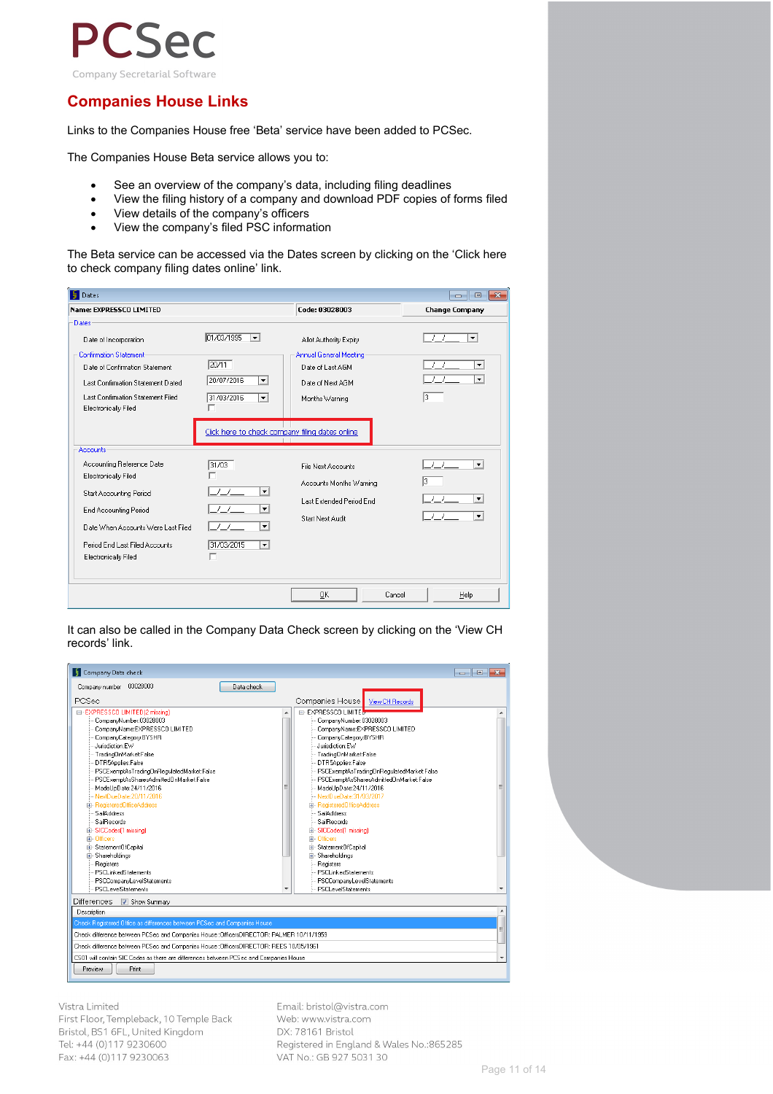

## **Companies House Links**

Links to the Companies House free 'Beta' service have been added to PCSec.

The Companies House Beta service allows you to:

- See an overview of the company's data, including filing deadlines
- View the filing history of a company and download PDF copies of forms filed
- View details of the company's officers
- View the company's filed PSC information

The Beta service can be accessed via the Dates screen by clicking on the 'Click here to check company filing dates online' link.

| <b>Dates</b>                                                                                                                                                                                                             |                                                                                                                                                                |                                                                                                            | $-x$<br>$\Box$<br>$\Box$                                    |
|--------------------------------------------------------------------------------------------------------------------------------------------------------------------------------------------------------------------------|----------------------------------------------------------------------------------------------------------------------------------------------------------------|------------------------------------------------------------------------------------------------------------|-------------------------------------------------------------|
| Name: EXPRESSCO LIMITED                                                                                                                                                                                                  |                                                                                                                                                                | Code: 03028003                                                                                             | <b>Change Company</b>                                       |
| Dates<br>Date of Incorporation<br><b>Confirmation Statement</b><br>Date of Confirmation Statement<br>Last Confirmation Statement Dated<br>Last Confirmation Statement Filed<br>Electronically Filed                      | 01/03/1995<br>$\overline{\phantom{0}}$<br>20/11<br>20/07/2016<br>$\mathbf{r}$<br>31/03/2016<br>$\mathbf{v}$<br>Click here to check company filing dates online | Allot Authority Expiry<br>Annual General Meeting<br>Date of Last AGM<br>Date of Next AGM<br>Months Warning | $\overline{\phantom{a}}$<br>▾<br>$\mathbf{r}$<br>13         |
| Accounts<br>Accounting Reference Date<br>Electronically Filed<br><b>Start Accounting Period</b><br>End Accounting Period<br>Date When Accounts Were Last Filed<br>Period End Last Filed Accounts<br>Electronically Filed | 31/03<br>г<br>$\prime$ $\prime$<br>$\blacktriangledown$<br>$\overline{\phantom{a}}$<br>$\blacktriangledown$<br>31/03/2015<br>$\blacktriangledown$<br>г         | File Next Accounts<br>Accounts Months Warning<br>Last Extended Period End<br>Start Next Audit              | ▼<br>13<br>$\blacktriangledown$<br>$\overline{\phantom{a}}$ |
|                                                                                                                                                                                                                          |                                                                                                                                                                | 0K<br>Cancel                                                                                               | Help                                                        |

It can also be called in the Company Data Check screen by clicking on the 'View CH records' link.

| Company Data check                                                                                                                                                                                                                                                                                                                                                                                                                                                                                                                                                                            |   |                                                                                                                                                                                                                                                                                                                                                                                                                                                                                                                                                                                 | $\begin{array}{c c c c c c c c c} \hline \multicolumn{3}{c }{\mathbf{x}} & \multicolumn{3}{c }{\mathbf{x}} \end{array}$ |  |
|-----------------------------------------------------------------------------------------------------------------------------------------------------------------------------------------------------------------------------------------------------------------------------------------------------------------------------------------------------------------------------------------------------------------------------------------------------------------------------------------------------------------------------------------------------------------------------------------------|---|---------------------------------------------------------------------------------------------------------------------------------------------------------------------------------------------------------------------------------------------------------------------------------------------------------------------------------------------------------------------------------------------------------------------------------------------------------------------------------------------------------------------------------------------------------------------------------|-------------------------------------------------------------------------------------------------------------------------|--|
| 03028003<br>Company number<br>Data check                                                                                                                                                                                                                                                                                                                                                                                                                                                                                                                                                      |   |                                                                                                                                                                                                                                                                                                                                                                                                                                                                                                                                                                                 |                                                                                                                         |  |
| PCSec                                                                                                                                                                                                                                                                                                                                                                                                                                                                                                                                                                                         |   | Companies House<br>View CH Records                                                                                                                                                                                                                                                                                                                                                                                                                                                                                                                                              |                                                                                                                         |  |
| E-EXPRESSCO LIMITED(2 missing)<br>CompanyNumber:03028003<br>CompanyName:EXPRESSCO LIMITED<br>CompanyCategory:BYSHR<br>Jurisdiction:EW<br>-- TradingOnMarket:False<br>DTR5Applies:False<br>PSCE xemptAsTradingOnRequlatedMarket:False<br>PSCE xemptAsSharesAdmittedOnMarket:False<br>MadeUpDate:24/11/2016<br>- NextDueDate: 20/11/2016<br>ria- RegisteredOfficeAddress<br><b>SailAddress</b><br><b>SailBecords</b><br>面 SICCodes(1 missing)<br>由- Officers<br>E StatementOfCapital<br>El-Shareholdings<br>Registers<br>PSCLinkedStatements<br>PSCCompanyLevelStatements<br>PSCLevelStatements | Ξ | <b>E-EXPRESSCO LIMITER</b><br>CompanyNumber:03028003<br>CompanyName:EXPRESSCO LIMITED<br>CompanyCategory:BYSHR<br>Jurisdiction EW<br>- TradingOnMarketFalse<br>DTR5Applies:False<br>PSCE xemptAsTradingOnRequlatedMarket:False<br>PSCExemptAsSharesAdmittedOnMarket:False<br>MadeUpDate:24/11/2016<br>-- NextDueDate: 31/03/2017<br>E-RegisteredOfficeAddress<br>SailAddress<br>SailRecords<br>El-SICCodes(1 missing)<br>E-Officers<br>Ei-StatementOfCapital<br>El-Shareholdings<br><b>Registers</b><br>PSCLinkedStatements<br>PSCCompanyLevelStatements<br>PSCL evelStatements | ▲<br>٠                                                                                                                  |  |
| Differences<br>Show Summary                                                                                                                                                                                                                                                                                                                                                                                                                                                                                                                                                                   |   |                                                                                                                                                                                                                                                                                                                                                                                                                                                                                                                                                                                 |                                                                                                                         |  |
| Description                                                                                                                                                                                                                                                                                                                                                                                                                                                                                                                                                                                   |   |                                                                                                                                                                                                                                                                                                                                                                                                                                                                                                                                                                                 |                                                                                                                         |  |
| Check Registered Office as differences between PCSec and Companies House                                                                                                                                                                                                                                                                                                                                                                                                                                                                                                                      |   |                                                                                                                                                                                                                                                                                                                                                                                                                                                                                                                                                                                 | Ξ                                                                                                                       |  |
| Check difference between PCSec and Companies House : OfficersDIRECTOR: PALMER 10/11/1959                                                                                                                                                                                                                                                                                                                                                                                                                                                                                                      |   |                                                                                                                                                                                                                                                                                                                                                                                                                                                                                                                                                                                 |                                                                                                                         |  |
| Check difference between PCSec and Companies House : OfficersDIRECTOR: REES 10/05/1961                                                                                                                                                                                                                                                                                                                                                                                                                                                                                                        |   |                                                                                                                                                                                                                                                                                                                                                                                                                                                                                                                                                                                 |                                                                                                                         |  |
| CS01 will contain SIC Codes as there are differences between PCSec and Companies House<br>٠                                                                                                                                                                                                                                                                                                                                                                                                                                                                                                   |   |                                                                                                                                                                                                                                                                                                                                                                                                                                                                                                                                                                                 |                                                                                                                         |  |
| <b>Print</b><br>Preview                                                                                                                                                                                                                                                                                                                                                                                                                                                                                                                                                                       |   |                                                                                                                                                                                                                                                                                                                                                                                                                                                                                                                                                                                 |                                                                                                                         |  |

### Vistra Limited

First Floor, Templeback, 10 Temple Back Bristol, BS1 6FL, United Kingdom Tel: +44 (0)117 9230600 Fax: +44 (0)117 9230063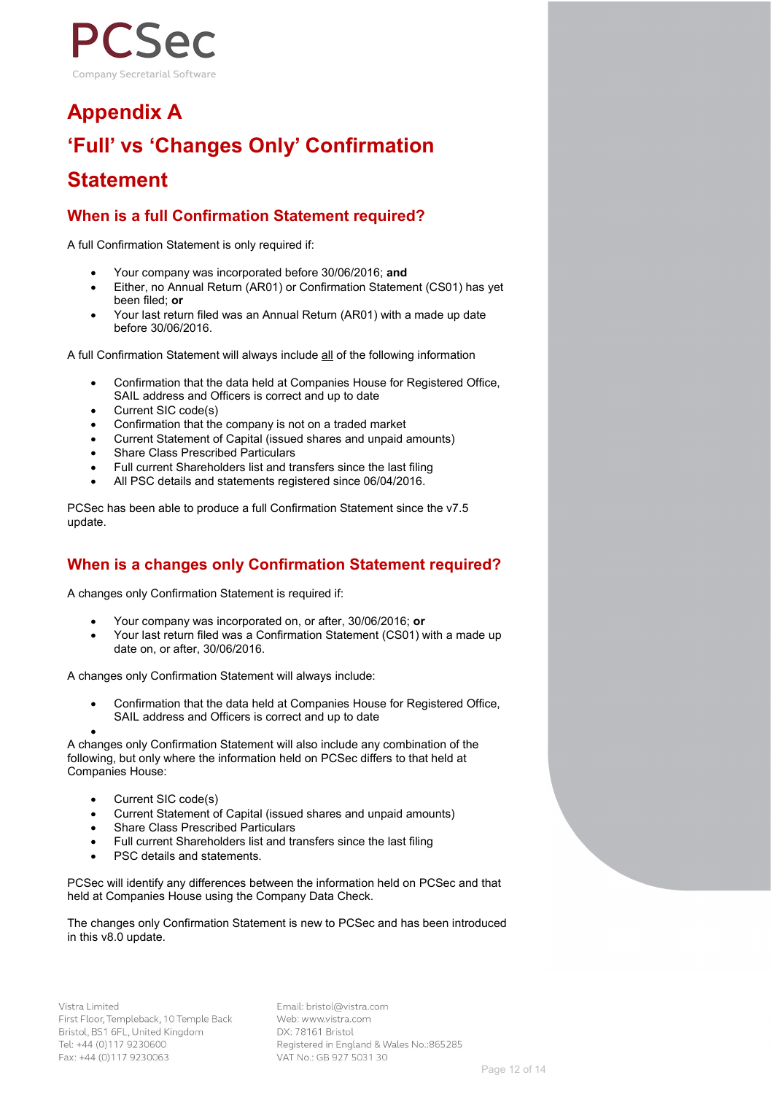

# **Appendix A 'Full' vs 'Changes Only' Confirmation**

## **Statement**

## **When is a full Confirmation Statement required?**

A full Confirmation Statement is only required if:

- Your company was incorporated before 30/06/2016; **and**
- Either, no Annual Return (AR01) or Confirmation Statement (CS01) has yet been filed; **or**
- Your last return filed was an Annual Return (AR01) with a made up date before 30/06/2016.

A full Confirmation Statement will always include all of the following information

- Confirmation that the data held at Companies House for Registered Office, SAIL address and Officers is correct and up to date
- Current SIC code(s)
- Confirmation that the company is not on a traded market
- Current Statement of Capital (issued shares and unpaid amounts)
- **Share Class Prescribed Particulars**
- Full current Shareholders list and transfers since the last filing
- All PSC details and statements registered since 06/04/2016.

PCSec has been able to produce a full Confirmation Statement since the v7.5 update.

## **When is a changes only Confirmation Statement required?**

A changes only Confirmation Statement is required if:

- Your company was incorporated on, or after, 30/06/2016; **or**
- Your last return filed was a Confirmation Statement (CS01) with a made up date on, or after, 30/06/2016.

A changes only Confirmation Statement will always include:

• Confirmation that the data held at Companies House for Registered Office, SAIL address and Officers is correct and up to date

• A changes only Confirmation Statement will also include any combination of the following, but only where the information held on PCSec differs to that held at Companies House:

- Current SIC code(s)
- Current Statement of Capital (issued shares and unpaid amounts)
- Share Class Prescribed Particulars
- Full current Shareholders list and transfers since the last filing
- PSC details and statements.

PCSec will identify any differences between the information held on PCSec and that held at Companies House using the Company Data Check.

The changes only Confirmation Statement is new to PCSec and has been introduced in this v8.0 update.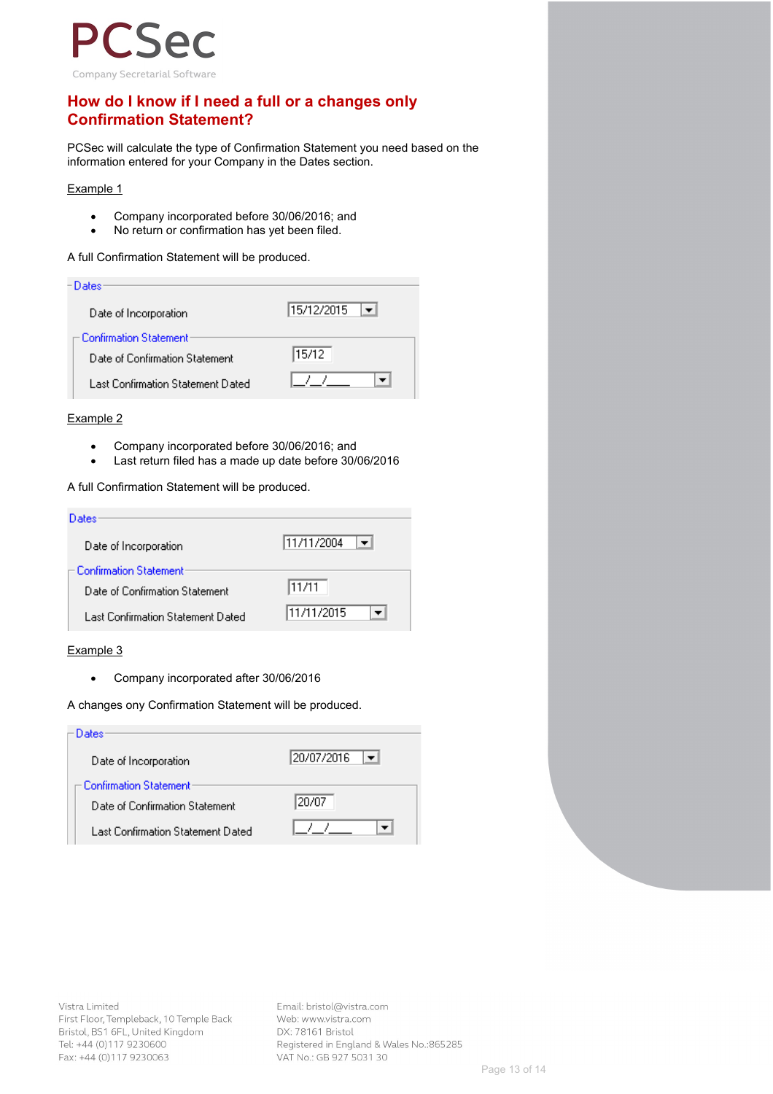

## **How do I know if I need a full or a changes only Confirmation Statement?**

PCSec will calculate the type of Confirmation Statement you need based on the information entered for your Company in the Dates section.

#### Example 1

- Company incorporated before 30/06/2016; and
- No return or confirmation has yet been filed.

A full Confirmation Statement will be produced.

| - Dates:                          |            |
|-----------------------------------|------------|
| Date of Incorporation             | 15/12/2015 |
| Confirmation Statement:           |            |
| Date of Confirmation Statement    | 15/12      |
| Last Confirmation Statement Dated |            |

#### Example 2

- Company incorporated before 30/06/2016; and
- Last return filed has a made up date before 30/06/2016

A full Confirmation Statement will be produced.

| Dates                             |            |
|-----------------------------------|------------|
| Date of Incorporation             | 11/11/2004 |
| - Confirmation Statement:         |            |
| Date of Confirmation Statement    | 11/11      |
| Last Confirmation Statement Dated | 11/11/2015 |

### Example 3

• Company incorporated after 30/06/2016

#### A changes ony Confirmation Statement will be produced.

| Dates:                                           |            |
|--------------------------------------------------|------------|
| Date of Incorporation<br>Confirmation Statement: | 20/07/2016 |
| Date of Confirmation Statement                   | 20/07      |
| Last Confirmation Statement Dated                |            |